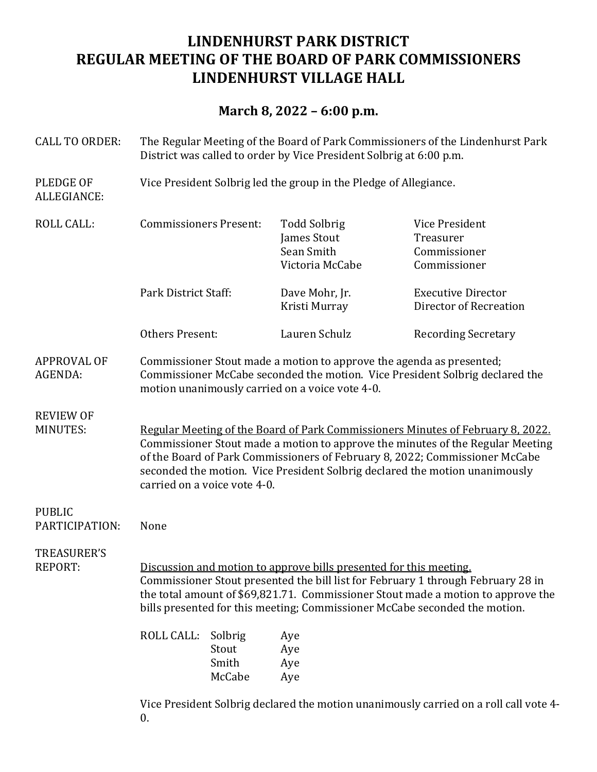# **LINDENHURST PARK DISTRICT REGULAR MEETING OF THE BOARD OF PARK COMMISSIONERS LINDENHURST VILLAGE HALL**

## **March 8, 2022 – 6:00 p.m.**

| <b>CALL TO ORDER:</b>                | The Regular Meeting of the Board of Park Commissioners of the Lindenhurst Park<br>District was called to order by Vice President Solbrig at 6:00 p.m.                                                                                                                                                                                                           |                |                                                                     |                                                             |  |
|--------------------------------------|-----------------------------------------------------------------------------------------------------------------------------------------------------------------------------------------------------------------------------------------------------------------------------------------------------------------------------------------------------------------|----------------|---------------------------------------------------------------------|-------------------------------------------------------------|--|
| <b>PLEDGE OF</b><br>ALLEGIANCE:      | Vice President Solbrig led the group in the Pledge of Allegiance.                                                                                                                                                                                                                                                                                               |                |                                                                     |                                                             |  |
| <b>ROLL CALL:</b>                    | <b>Commissioners Present:</b>                                                                                                                                                                                                                                                                                                                                   |                | <b>Todd Solbrig</b><br>James Stout<br>Sean Smith<br>Victoria McCabe | Vice President<br>Treasurer<br>Commissioner<br>Commissioner |  |
|                                      | Park District Staff:                                                                                                                                                                                                                                                                                                                                            |                | Dave Mohr, Jr.<br>Kristi Murray                                     | <b>Executive Director</b><br>Director of Recreation         |  |
|                                      | <b>Others Present:</b>                                                                                                                                                                                                                                                                                                                                          |                | Lauren Schulz                                                       | <b>Recording Secretary</b>                                  |  |
| <b>APPROVAL OF</b><br>AGENDA:        | Commissioner Stout made a motion to approve the agenda as presented;<br>Commissioner McCabe seconded the motion. Vice President Solbrig declared the<br>motion unanimously carried on a voice vote 4-0.                                                                                                                                                         |                |                                                                     |                                                             |  |
| <b>REVIEW OF</b><br><b>MINUTES:</b>  | Regular Meeting of the Board of Park Commissioners Minutes of February 8, 2022.<br>Commissioner Stout made a motion to approve the minutes of the Regular Meeting<br>of the Board of Park Commissioners of February 8, 2022; Commissioner McCabe<br>seconded the motion. Vice President Solbrig declared the motion unanimously<br>carried on a voice vote 4-0. |                |                                                                     |                                                             |  |
| <b>PUBLIC</b><br>PARTICIPATION:      | None                                                                                                                                                                                                                                                                                                                                                            |                |                                                                     |                                                             |  |
| <b>TREASURER'S</b><br><b>REPORT:</b> | Discussion and motion to approve bills presented for this meeting.<br>Commissioner Stout presented the bill list for February 1 through February 28 in<br>the total amount of \$69,821.71. Commissioner Stout made a motion to approve the<br>bills presented for this meeting; Commissioner McCabe seconded the motion.<br>ROLL CALL:<br>Solbrig<br>Aye        |                |                                                                     |                                                             |  |
|                                      |                                                                                                                                                                                                                                                                                                                                                                 | Stout<br>Smith | Aye<br>Aye                                                          |                                                             |  |
|                                      |                                                                                                                                                                                                                                                                                                                                                                 | McCabe         | Aye                                                                 |                                                             |  |
|                                      |                                                                                                                                                                                                                                                                                                                                                                 |                |                                                                     |                                                             |  |

Vice President Solbrig declared the motion unanimously carried on a roll call vote 4-0.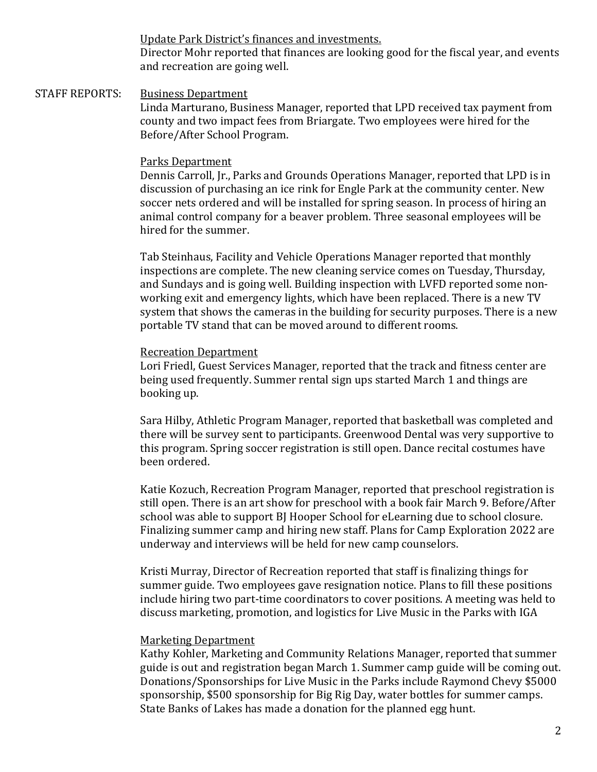Update Park District's finances and investments.

Director Mohr reported that finances are looking good for the fiscal year, and events and recreation are going well.

### STAFF REPORTS: Business Department Linda Marturano, Business Manager, reported that LPD received tax payment from county and two impact fees from Briargate. Two employees were hired for the Before/After School Program.

#### Parks Department

Dennis Carroll, Jr., Parks and Grounds Operations Manager, reported that LPD is in discussion of purchasing an ice rink for Engle Park at the community center. New soccer nets ordered and will be installed for spring season. In process of hiring an animal control company for a beaver problem. Three seasonal employees will be hired for the summer.

Tab Steinhaus, Facility and Vehicle Operations Manager reported that monthly inspections are complete. The new cleaning service comes on Tuesday, Thursday, and Sundays and is going well. Building inspection with LVFD reported some nonworking exit and emergency lights, which have been replaced. There is a new TV system that shows the cameras in the building for security purposes. There is a new portable TV stand that can be moved around to different rooms.

#### Recreation Department

Lori Friedl, Guest Services Manager, reported that the track and fitness center are being used frequently. Summer rental sign ups started March 1 and things are booking up.

Sara Hilby, Athletic Program Manager, reported that basketball was completed and there will be survey sent to participants. Greenwood Dental was very supportive to this program. Spring soccer registration is still open. Dance recital costumes have been ordered. 

Katie Kozuch, Recreation Program Manager, reported that preschool registration is still open. There is an art show for preschool with a book fair March 9. Before/After school was able to support BJ Hooper School for eLearning due to school closure. Finalizing summer camp and hiring new staff. Plans for Camp Exploration 2022 are underway and interviews will be held for new camp counselors.

Kristi Murray, Director of Recreation reported that staff is finalizing things for summer guide. Two employees gave resignation notice. Plans to fill these positions include hiring two part-time coordinators to cover positions. A meeting was held to discuss marketing, promotion, and logistics for Live Music in the Parks with IGA

#### Marketing Department

Kathy Kohler, Marketing and Community Relations Manager, reported that summer guide is out and registration began March 1. Summer camp guide will be coming out. Donations/Sponsorships for Live Music in the Parks include Raymond Chevy \$5000 sponsorship, \$500 sponsorship for Big Rig Day, water bottles for summer camps. State Banks of Lakes has made a donation for the planned egg hunt.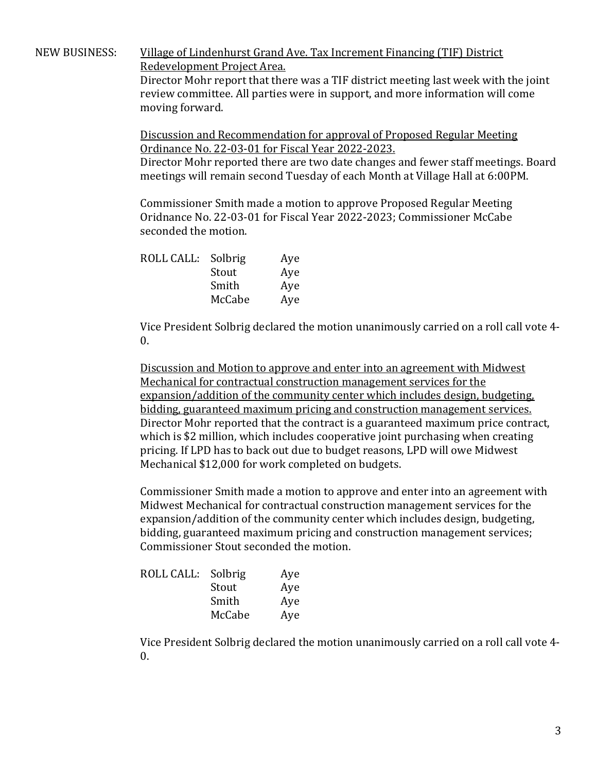#### NEW BUSINESS: Village of Lindenhurst Grand Ave. Tax Increment Financing (TIF) District Redevelopment Project Area.

Director Mohr report that there was a TIF district meeting last week with the joint review committee. All parties were in support, and more information will come moving forward.

Discussion and Recommendation for approval of Proposed Regular Meeting Ordinance No. 22-03-01 for Fiscal Year 2022-2023.

Director Mohr reported there are two date changes and fewer staff meetings. Board meetings will remain second Tuesday of each Month at Village Hall at 6:00PM.

Commissioner Smith made a motion to approve Proposed Regular Meeting Oridnance No. 22-03-01 for Fiscal Year 2022-2023; Commissioner McCabe seconded the motion.

| ROLL CALL: | Solbrig | Aye |
|------------|---------|-----|
|            | Stout   | Aye |
|            | Smith   | Aye |
|            | McCabe  | Aye |
|            |         |     |

Vice President Solbrig declared the motion unanimously carried on a roll call vote 4- $\mathbf{0}$ .

Discussion and Motion to approve and enter into an agreement with Midwest Mechanical for contractual construction management services for the expansion/addition of the community center which includes design, budgeting, bidding, guaranteed maximum pricing and construction management services. Director Mohr reported that the contract is a guaranteed maximum price contract, which is \$2 million, which includes cooperative joint purchasing when creating pricing. If LPD has to back out due to budget reasons, LPD will owe Midwest Mechanical \$12,000 for work completed on budgets.

Commissioner Smith made a motion to approve and enter into an agreement with Midwest Mechanical for contractual construction management services for the expansion/addition of the community center which includes design, budgeting, bidding, guaranteed maximum pricing and construction management services; Commissioner Stout seconded the motion.

| ROLL CALL: | Solbrig | Aye |
|------------|---------|-----|
|            | Stout   | Aye |
|            | Smith   | Aye |
|            | McCabe  | Aye |

Vice President Solbrig declared the motion unanimously carried on a roll call vote 4-0.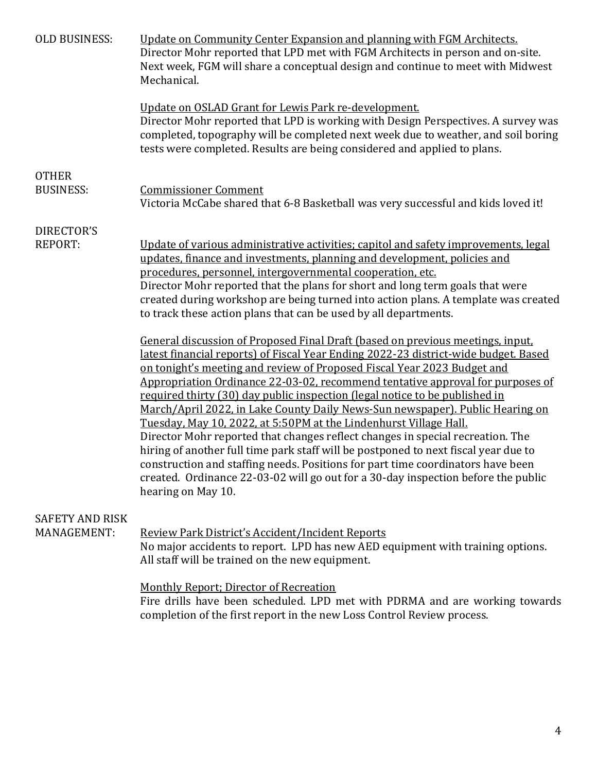| <b>OLD BUSINESS:</b>                  | Update on Community Center Expansion and planning with FGM Architects.<br>Director Mohr reported that LPD met with FGM Architects in person and on-site.<br>Next week, FGM will share a conceptual design and continue to meet with Midwest<br>Mechanical.                                                                                                                                                                                                                                                                                                                                                                                                                                                                                                                                                                                                                                                                                     |
|---------------------------------------|------------------------------------------------------------------------------------------------------------------------------------------------------------------------------------------------------------------------------------------------------------------------------------------------------------------------------------------------------------------------------------------------------------------------------------------------------------------------------------------------------------------------------------------------------------------------------------------------------------------------------------------------------------------------------------------------------------------------------------------------------------------------------------------------------------------------------------------------------------------------------------------------------------------------------------------------|
|                                       | Update on OSLAD Grant for Lewis Park re-development.<br>Director Mohr reported that LPD is working with Design Perspectives. A survey was<br>completed, topography will be completed next week due to weather, and soil boring<br>tests were completed. Results are being considered and applied to plans.                                                                                                                                                                                                                                                                                                                                                                                                                                                                                                                                                                                                                                     |
| <b>OTHER</b>                          |                                                                                                                                                                                                                                                                                                                                                                                                                                                                                                                                                                                                                                                                                                                                                                                                                                                                                                                                                |
| <b>BUSINESS:</b>                      | <b>Commissioner Comment</b><br>Victoria McCabe shared that 6-8 Basketball was very successful and kids loved it!                                                                                                                                                                                                                                                                                                                                                                                                                                                                                                                                                                                                                                                                                                                                                                                                                               |
| DIRECTOR'S                            |                                                                                                                                                                                                                                                                                                                                                                                                                                                                                                                                                                                                                                                                                                                                                                                                                                                                                                                                                |
| <b>REPORT:</b>                        | Update of various administrative activities; capitol and safety improvements, legal<br>updates, finance and investments, planning and development, policies and<br>procedures, personnel, intergovernmental cooperation, etc.<br>Director Mohr reported that the plans for short and long term goals that were<br>created during workshop are being turned into action plans. A template was created<br>to track these action plans that can be used by all departments.                                                                                                                                                                                                                                                                                                                                                                                                                                                                       |
|                                       | General discussion of Proposed Final Draft (based on previous meetings, input,<br>latest financial reports) of Fiscal Year Ending 2022-23 district-wide budget. Based<br>on tonight's meeting and review of Proposed Fiscal Year 2023 Budget and<br>Appropriation Ordinance 22-03-02, recommend tentative approval for purposes of<br>required thirty (30) day public inspection (legal notice to be published in<br>March/April 2022, in Lake County Daily News-Sun newspaper). Public Hearing on<br>Tuesday, May 10, 2022, at 5:50PM at the Lindenhurst Village Hall.<br>Director Mohr reported that changes reflect changes in special recreation. The<br>hiring of another full time park staff will be postponed to next fiscal year due to<br>construction and staffing needs. Positions for part time coordinators have been<br>created. Ordinance 22-03-02 will go out for a 30-day inspection before the public<br>hearing on May 10. |
| <b>SAFETY AND RISK</b><br>MANAGEMENT: | Review Park District's Accident/Incident Reports<br>No major accidents to report. LPD has new AED equipment with training options.<br>All staff will be trained on the new equipment.                                                                                                                                                                                                                                                                                                                                                                                                                                                                                                                                                                                                                                                                                                                                                          |
|                                       | <b>Monthly Report; Director of Recreation</b><br>Fire drills have been scheduled. LPD met with PDRMA and are working towards<br>completion of the first report in the new Loss Control Review process.                                                                                                                                                                                                                                                                                                                                                                                                                                                                                                                                                                                                                                                                                                                                         |